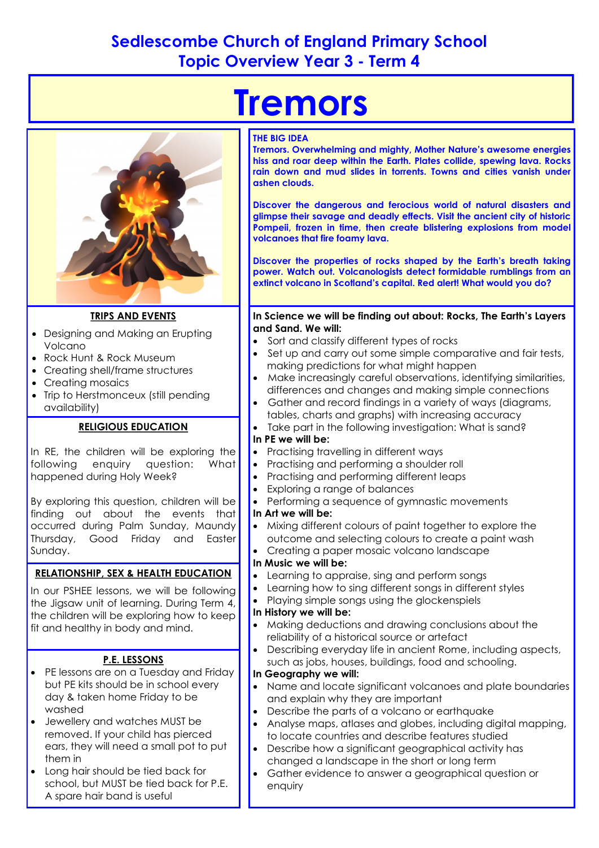## **Sedlescombe Church of England Primary School Topic Overview Year 3 - Term 4**



#### **TRIPS AND EVENTS**

- Designing and Making an Erupting Volcano
- Rock Hunt & Rock Museum
- Creating shell/frame structures
- Creating mosaics
- Trip to Herstmonceux (still pending availability)

#### **RELIGIOUS EDUCATION**

In RE, the children will be exploring the following enquiry question: What happened during Holy Week?

By exploring this question, children will be finding out about the events that occurred during Palm Sunday, Maundy Thursday, Good Friday and Easter Sunday.

#### **RELATIONSHIP, SEX & HEALTH EDUCATION**

In our PSHEE lessons, we will be following the Jigsaw unit of learning. During Term 4, the children will be exploring how to keep fit and healthy in body and mind.

#### **P.E. LESSONS**

- PE lessons are on a Tuesday and Friday but PE kits should be in school every day & taken home Friday to be washed
- Jewellery and watches MUST be removed. If your child has pierced ears, they will need a small pot to put them in
- Long hair should be tied back for school, but MUST be tied back for P.E. A spare hair band is useful

# **Tremors**

#### **THE BIG IDEA**

**Tremors. Overwhelming and mighty, Mother Nature's awesome energies hiss and roar deep within the Earth. Plates collide, spewing lava. Rocks rain down and mud slides in torrents. Towns and cities vanish under ashen clouds.** 

**Discover the dangerous and ferocious world of natural disasters and glimpse their savage and deadly effects. Visit the ancient city of historic Pompeii, frozen in time, then create blistering explosions from model volcanoes that fire foamy lava.** 

**Discover the properties of rocks shaped by the Earth's breath taking power. Watch out. Volcanologists detect formidable rumblings from an extinct volcano in Scotland's capital. Red alert! What would you do?** 

**In Science we will be finding out about: Rocks, The Earth's Layers and Sand. We will:**

- Sort and classify different types of rocks
- Set up and carry out some simple comparative and fair tests, making predictions for what might happen
- Make increasingly careful observations, identifying similarities, differences and changes and making simple connections
- Gather and record findings in a variety of ways (diagrams, tables, charts and graphs) with increasing accuracy
- Take part in the following investigation: What is sand?

### **In PE we will be:**

- Practising travelling in different ways
- Practising and performing a shoulder roll
- Practising and performing different leaps
- Exploring a range of balances
- Performing a sequence of gymnastic movements

#### **In Art we will be:**

- Mixing different colours of paint together to explore the outcome and selecting colours to create a paint wash
- Creating a paper mosaic volcano landscape

#### **In Music we will be:**

- Learning to appraise, sing and perform songs
- Learning how to sing different songs in different styles
- Playing simple songs using the glockenspiels

#### **In History we will be:**

- Making deductions and drawing conclusions about the reliability of a historical source or artefact
- Describing everyday life in ancient Rome, including aspects, such as jobs, houses, buildings, food and schooling.

#### **In Geography we will:**

- Name and locate significant volcanoes and plate boundaries and explain why they are important
- Describe the parts of a volcano or earthquake
- Analyse maps, atlases and globes, including digital mapping, to locate countries and describe features studied
- Describe how a significant geographical activity has changed a landscape in the short or long term
- Gather evidence to answer a geographical question or enquiry